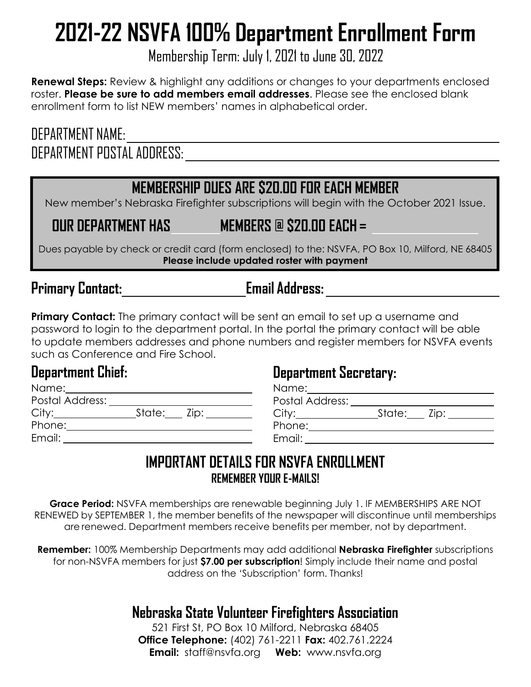# **2021-22 NSVFA 100% Department Enrollment Form**

Membership Term: July 1, 2021 to June 30, 2022

**Renewal Steps:** Review & highlight any additions or changes to your departments enclosed roster. **Please be sure to add members email addresses**. Please see the enclosed blank enrollment form to list NEW members' names in alphabetical order.

## DEPARTMENT NAME: DEPARTMENT POSTAL ADDRESS:

## **MEMBERSHIP DUES ARE \$20.00 FOR EACH MEMBER**

New member's Nebraska Firefighter subscriptions will begin with the October 2021 Issue.

**OUR DEPARTMENT HAS MEMBERS @ \$20.00 EACH =** 

<u> 1980 - Johann Barbara, martxa alemaniar amerikan personal (h. 1980).</u>

Dues payable by check or credit card (form enclosed) to the: NSVFA, PO Box 10, Milford, NE 68405 **Please include updated roster with payment** 

## **Primary Contact: Email Address:**

**Primary Contact:** The primary contact will be sent an email to set up a username and password to login to the department portal. In the portal the primary contact will be able to update members addresses and phone numbers and register members for NSVFA events such as Conference and Fire School.

#### **Department Chief:**

Name: Postal Address: City: State: Zip: Phone: 2002 Email:

#### **Department Secretary:**

| Name:           |               |
|-----------------|---------------|
| Postal Address: |               |
|                 | State: Zip: 1 |
| Phone:          |               |
| Email:          |               |

#### **IMPORTANT DETAILS FOR NSVFA ENROLLMENT REMEMBER YOUR E-MAILS!**

**Grace Period:** NSVFA memberships are renewable beginning July 1. IF MEMBERSHIPS ARE NOT RENEWED by SEPTEMBER 1, the member benefits of the newspaper will discontinue until memberships are renewed. Department members receive benefits per member, not by department.

**Remember:** 100% Membership Departments may add additional **Nebraska Firefighter** subscriptions for non-NSVFA members for just **\$7.00 per subscription**! Simply include their name and postal address on the 'Subscription' form. Thanks!

#### **Nebraska State Volunteer Firefighters Association**

521 First St, PO Box 10 Milford, Nebraska 68405 **Office Telephone:** (402) 761-2211 **Fax:** 402.761.2224 **Email:** [staff@nsvfa.org](mailto:staff@nsvfa.org) **Web:** [www.nsvfa.org](http://www.nsvfa.org/the-nebraska-firefighter)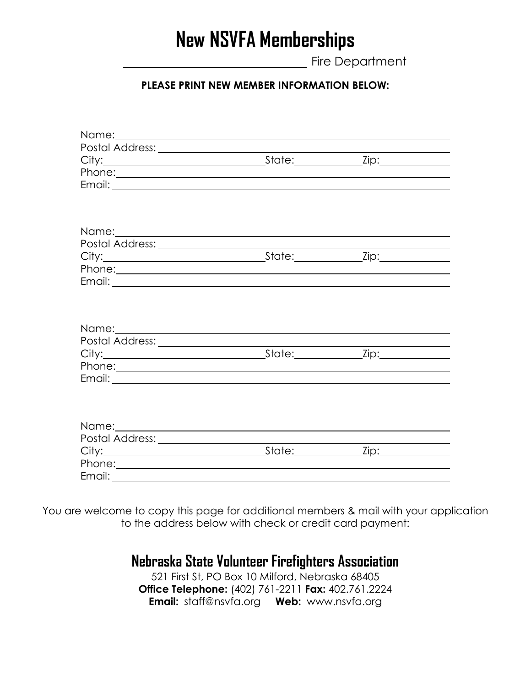## **New NSVFA Memberships**

Fire Department

#### **PLEASE PRINT NEW MEMBER INFORMATION BELOW:**

| Phone: <u>example and the set of the set of the set of the set of the set of the set of the set of the set of the set of the set of the set of the set of the set of the set of the set of the set of the set of the set of the </u> |  |  |
|--------------------------------------------------------------------------------------------------------------------------------------------------------------------------------------------------------------------------------------|--|--|
|                                                                                                                                                                                                                                      |  |  |
|                                                                                                                                                                                                                                      |  |  |
|                                                                                                                                                                                                                                      |  |  |
|                                                                                                                                                                                                                                      |  |  |
| Name: Name and the second contract of the second contract of the second contract of the second contract of the second contract of the second contract of the second contract of the second contract of the second contract of        |  |  |
|                                                                                                                                                                                                                                      |  |  |
|                                                                                                                                                                                                                                      |  |  |
|                                                                                                                                                                                                                                      |  |  |
|                                                                                                                                                                                                                                      |  |  |
|                                                                                                                                                                                                                                      |  |  |
|                                                                                                                                                                                                                                      |  |  |
|                                                                                                                                                                                                                                      |  |  |
|                                                                                                                                                                                                                                      |  |  |
|                                                                                                                                                                                                                                      |  |  |
|                                                                                                                                                                                                                                      |  |  |
|                                                                                                                                                                                                                                      |  |  |

You are welcome to copy this page for additional members & mail with your application to the address below with check or credit card payment:

> **Nebraska State Volunteer Firefighters Association** 521 First St, PO Box 10 Milford, Nebraska 68405 **Office Telephone:** (402) 761-2211 **Fax:** 402.761.2224 **Email:** [staff@nsvfa.org](mailto:staff@nsvfa.org) **Web:** [www.nsvfa.org](http://www.nsvfa.org/the-nebraska-firefighter)